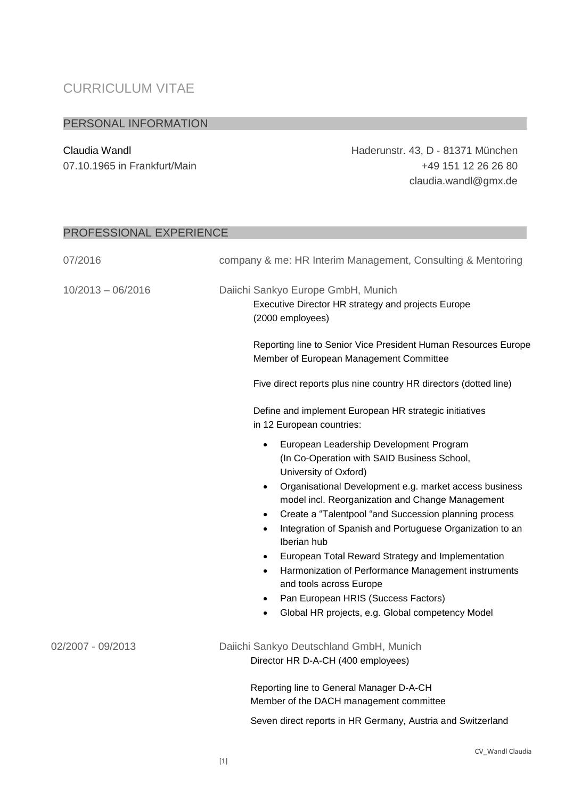## CURRICULUM VITAE

## PERSONAL INFORMATION

Claudia Wandl Haderunstr. 43, D - 81371 München 07.10.1965 in Frankfurt/Main +49 151 12 26 26 80 claudia.wandl@gmx.de

| PROFESSIONAL EXPERIENCE |                                                                                                                                                                                                                                                                                                                                                                                                                                                                                                                                                                                                                                                                |  |
|-------------------------|----------------------------------------------------------------------------------------------------------------------------------------------------------------------------------------------------------------------------------------------------------------------------------------------------------------------------------------------------------------------------------------------------------------------------------------------------------------------------------------------------------------------------------------------------------------------------------------------------------------------------------------------------------------|--|
| 07/2016                 | company & me: HR Interim Management, Consulting & Mentoring                                                                                                                                                                                                                                                                                                                                                                                                                                                                                                                                                                                                    |  |
| $10/2013 - 06/2016$     | Daiichi Sankyo Europe GmbH, Munich<br>Executive Director HR strategy and projects Europe<br>(2000 employees)                                                                                                                                                                                                                                                                                                                                                                                                                                                                                                                                                   |  |
|                         | Reporting line to Senior Vice President Human Resources Europe<br>Member of European Management Committee                                                                                                                                                                                                                                                                                                                                                                                                                                                                                                                                                      |  |
|                         | Five direct reports plus nine country HR directors (dotted line)                                                                                                                                                                                                                                                                                                                                                                                                                                                                                                                                                                                               |  |
|                         | Define and implement European HR strategic initiatives<br>in 12 European countries:                                                                                                                                                                                                                                                                                                                                                                                                                                                                                                                                                                            |  |
|                         | European Leadership Development Program<br>٠<br>(In Co-Operation with SAID Business School,<br>University of Oxford)<br>Organisational Development e.g. market access business<br>$\bullet$<br>model incl. Reorganization and Change Management<br>Create a "Talentpool "and Succession planning process<br>٠<br>Integration of Spanish and Portuguese Organization to an<br>٠<br>Iberian hub<br>European Total Reward Strategy and Implementation<br>Harmonization of Performance Management instruments<br>٠<br>and tools across Europe<br>Pan European HRIS (Success Factors)<br>$\bullet$<br>Global HR projects, e.g. Global competency Model<br>$\bullet$ |  |
| 02/2007 - 09/2013       | Daiichi Sankyo Deutschland GmbH, Munich<br>Director HR D-A-CH (400 employees)                                                                                                                                                                                                                                                                                                                                                                                                                                                                                                                                                                                  |  |
|                         | Reporting line to General Manager D-A-CH<br>Member of the DACH management committee<br>Seven direct reports in HR Germany, Austria and Switzerland                                                                                                                                                                                                                                                                                                                                                                                                                                                                                                             |  |

## CV\_Wandl Claudia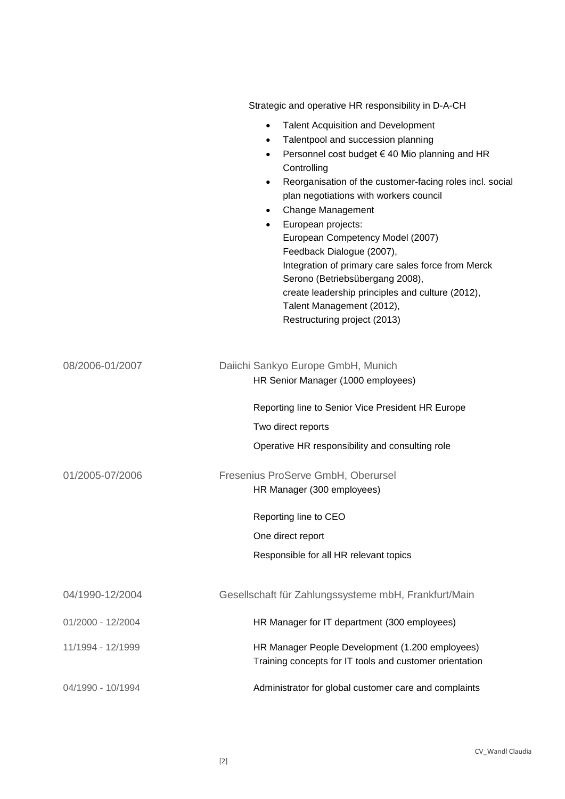|                   | Strategic and operative HR responsibility in D-A-CH                                                                                                                                                                                                                                                                                                                                                                                                                                                                                                                                                                                           |
|-------------------|-----------------------------------------------------------------------------------------------------------------------------------------------------------------------------------------------------------------------------------------------------------------------------------------------------------------------------------------------------------------------------------------------------------------------------------------------------------------------------------------------------------------------------------------------------------------------------------------------------------------------------------------------|
|                   | <b>Talent Acquisition and Development</b><br>$\bullet$<br>Talentpool and succession planning<br>$\bullet$<br>Personnel cost budget € 40 Mio planning and HR<br>$\bullet$<br>Controlling<br>Reorganisation of the customer-facing roles incl. social<br>$\bullet$<br>plan negotiations with workers council<br>Change Management<br>European projects:<br>$\bullet$<br>European Competency Model (2007)<br>Feedback Dialogue (2007),<br>Integration of primary care sales force from Merck<br>Serono (Betriebsübergang 2008),<br>create leadership principles and culture (2012),<br>Talent Management (2012),<br>Restructuring project (2013) |
| 08/2006-01/2007   | Daiichi Sankyo Europe GmbH, Munich<br>HR Senior Manager (1000 employees)                                                                                                                                                                                                                                                                                                                                                                                                                                                                                                                                                                      |
|                   | Reporting line to Senior Vice President HR Europe                                                                                                                                                                                                                                                                                                                                                                                                                                                                                                                                                                                             |
|                   | Two direct reports                                                                                                                                                                                                                                                                                                                                                                                                                                                                                                                                                                                                                            |
|                   | Operative HR responsibility and consulting role                                                                                                                                                                                                                                                                                                                                                                                                                                                                                                                                                                                               |
| 01/2005-07/2006   | Fresenius ProServe GmbH, Oberursel<br>HR Manager (300 employees)                                                                                                                                                                                                                                                                                                                                                                                                                                                                                                                                                                              |
|                   | Reporting line to CEO                                                                                                                                                                                                                                                                                                                                                                                                                                                                                                                                                                                                                         |
|                   | One direct report                                                                                                                                                                                                                                                                                                                                                                                                                                                                                                                                                                                                                             |
|                   | Responsible for all HR relevant topics                                                                                                                                                                                                                                                                                                                                                                                                                                                                                                                                                                                                        |
| 04/1990-12/2004   | Gesellschaft für Zahlungssysteme mbH, Frankfurt/Main                                                                                                                                                                                                                                                                                                                                                                                                                                                                                                                                                                                          |
| 01/2000 - 12/2004 | HR Manager for IT department (300 employees)                                                                                                                                                                                                                                                                                                                                                                                                                                                                                                                                                                                                  |
| 11/1994 - 12/1999 | HR Manager People Development (1.200 employees)<br>Training concepts for IT tools and customer orientation                                                                                                                                                                                                                                                                                                                                                                                                                                                                                                                                    |
| 04/1990 - 10/1994 | Administrator for global customer care and complaints                                                                                                                                                                                                                                                                                                                                                                                                                                                                                                                                                                                         |